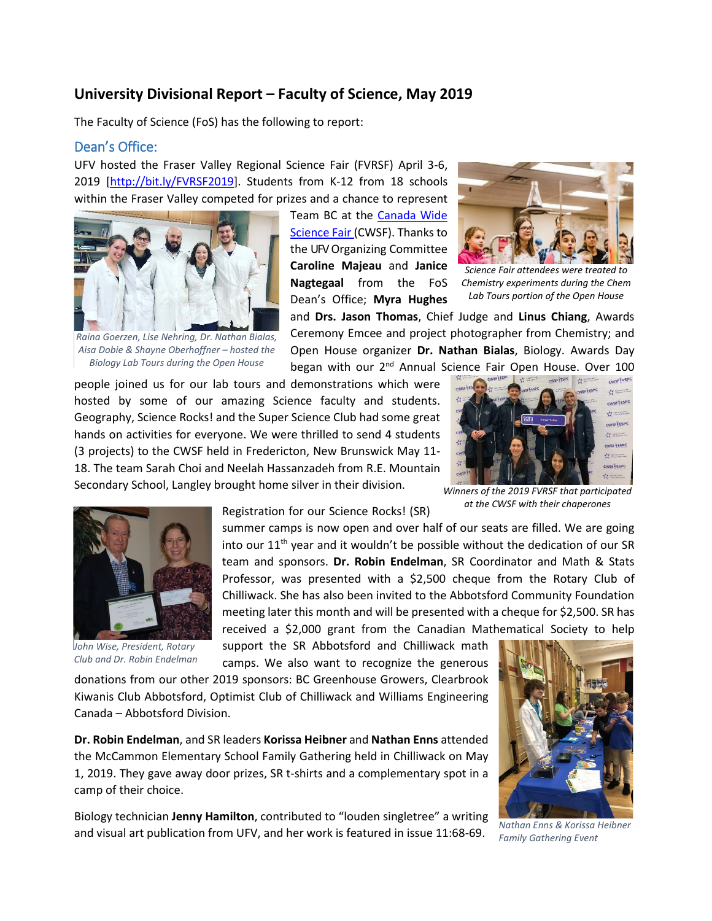# **University Divisional Report – Faculty of Science, May 2019**

The Faculty of Science (FoS) has the following to report:

#### Dean's Office:

UFV hosted the Fraser Valley Regional Science Fair (FVRSF) April 3-6, 2019 [\[http://bit.ly/FVRSF2019\]](http://bit.ly/FVRSF2019). Students from K-12 from 18 schools within the Fraser Valley competed for prizes and a chance to represent



*Raina Goerzen, Lise Nehring, Dr. Nathan Bialas, Aisa Dobie & Shayne Oberhoffner – hosted the Biology Lab Tours during the Open House*

Team BC at the [Canada Wide](https://cwsf.youthscience.ca/)  [Science Fair \(](https://cwsf.youthscience.ca/)CWSF). Thanks to the UFVOrganizing Committee **Caroline Majeau** and **Janice Nagtegaal** from the FoS Dean's Office; **Myra Hughes**



*Science Fair attendees were treated to Chemistry experiments during the Chem Lab Tours portion of the Open House*

and **Drs. Jason Thomas**, Chief Judge and **Linus Chiang**, Awards Ceremony Emcee and project photographer from Chemistry; and Open House organizer **Dr. Nathan Bialas**, Biology. Awards Day began with our 2<sup>nd</sup> Annual Science Fair Open House. Over 100

people joined us for our lab tours and demonstrations which were hosted by some of our amazing Science faculty and students. Geography, Science Rocks! and the Super Science Club had some great hands on activities for everyone. We were thrilled to send 4 students (3 projects) to the CWSF held in Fredericton, New Brunswick May 11- 18. The team Sarah Choi and Neelah Hassanzadeh from R.E. Mountain Secondary School, Langley brought home silver in their division.



*Winners of the 2019 FVRSF that participated at the CWSF with their chaperones*



*John Wise, President, Rotary Club and Dr. Robin Endelman*

Registration for our Science Rocks! (SR)

summer camps is now open and over half of our seats are filled. We are going into our  $11<sup>th</sup>$  year and it wouldn't be possible without the dedication of our SR team and sponsors. **Dr. Robin Endelman**, SR Coordinator and Math & Stats Professor, was presented with a \$2,500 cheque from the Rotary Club of Chilliwack. She has also been invited to the Abbotsford Community Foundation meeting later this month and will be presented with a cheque for \$2,500. SR has received a \$2,000 grant from the Canadian Mathematical Society to help

support the SR Abbotsford and Chilliwack math camps. We also want to recognize the generous

donations from our other 2019 sponsors: BC Greenhouse Growers, Clearbrook Kiwanis Club Abbotsford, Optimist Club of Chilliwack and Williams Engineering Canada – Abbotsford Division.

**Dr. Robin Endelman**, and SR leaders **Korissa Heibner** and **Nathan Enns** attended the McCammon Elementary School Family Gathering held in Chilliwack on May 1, 2019. They gave away door prizes, SR t-shirts and a complementary spot in a camp of their choice.

Biology technician **Jenny Hamilton**, contributed to "louden singletree" a writing and visual art publication from UFV, and her work is featured in issue 11:68-69.



*Nathan Enns & Korissa Heibner Family Gathering Event*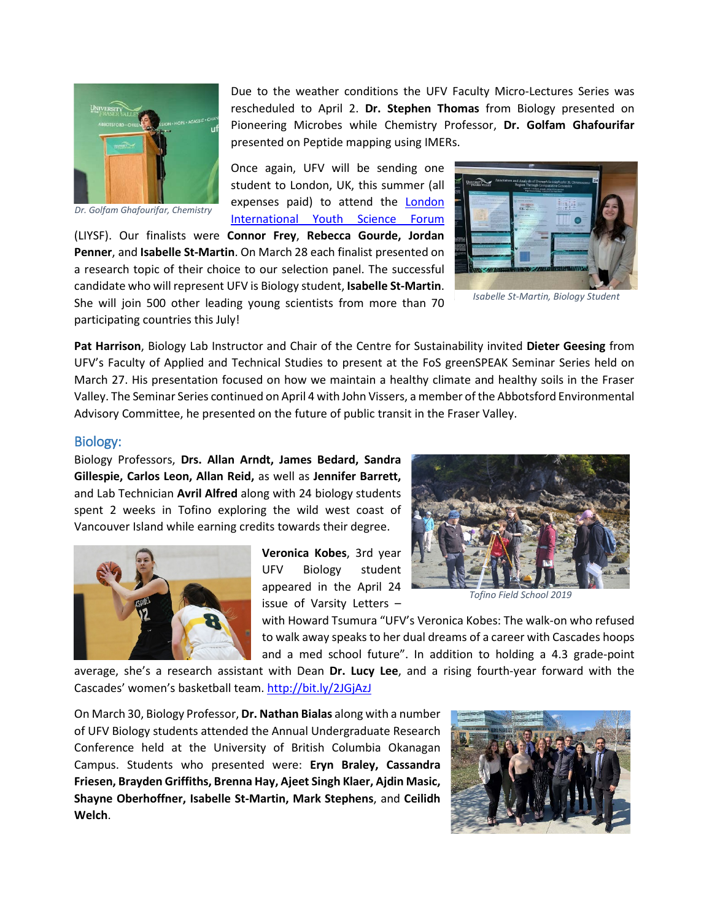

*Dr. Golfam Ghafourifar, Chemistry*

Due to the weather conditions the UFV Faculty Micro-Lectures Series was rescheduled to April 2. **Dr. Stephen Thomas** from Biology presented on Pioneering Microbes while Chemistry Professor, **Dr. Golfam Ghafourifar** presented on Peptide mapping using IMERs.

Once again, UFV will be sending one student to London, UK, this summer (all expenses paid) to attend the [London](https://www.liysf.org.uk/)  [International Youth Science Forum](https://www.liysf.org.uk/)

(LIYSF). Our finalists were **Connor Frey**, **Rebecca Gourde, Jordan Penner**, and **Isabelle St-Martin**. On March 28 each finalist presented on a research topic of their choice to our selection panel. The successful candidate who will represent UFV is Biology student, **Isabelle St-Martin**. She will join 500 other leading young scientists from more than 70 participating countries this July!



*Isabelle St-Martin, Biology Student*

**Pat Harrison**, Biology Lab Instructor and Chair of the Centre for Sustainability invited **Dieter Geesing** from UFV's Faculty of Applied and Technical Studies to present at the FoS greenSPEAK Seminar Series held on March 27. His presentation focused on how we maintain a healthy climate and healthy soils in the Fraser Valley. The Seminar Series continued on April 4 with John Vissers, a member of the Abbotsford Environmental Advisory Committee, he presented on the future of public transit in the Fraser Valley.

#### Biology:

Biology Professors, **Drs. Allan Arndt, James Bedard, Sandra Gillespie, Carlos Leon, Allan Reid,** as well as **Jennifer Barrett,**  and Lab Technician **Avril Alfred** along with 24 biology students spent 2 weeks in Tofino exploring the wild west coast of Vancouver Island while earning credits towards their degree.



**Veronica Kobes**, 3rd year UFV Biology student appeared in the April 24 issue of Varsity Letters –



*Tofino Field School 2019*

with Howard Tsumura "UFV's Veronica Kobes: The walk-on who refused to walk away speaks to her dual dreams of a career with Cascades hoops and a med school future". In addition to holding a 4.3 grade-point

average, she's a research assistant with Dean **Dr. Lucy Lee**, and a rising fourth-year forward with the Cascades' women's basketball team.<http://bit.ly/2JGjAzJ>

On March 30, Biology Professor, **Dr. Nathan Bialas** along with a number of UFV Biology students attended the Annual Undergraduate Research Conference held at the University of British Columbia Okanagan Campus. Students who presented were: **Eryn Braley, Cassandra Friesen, Brayden Griffiths, Brenna Hay, Ajeet Singh Klaer, Ajdin Masic, Shayne Oberhoffner, Isabelle St-Martin, Mark Stephens**, and **Ceilidh Welch**.

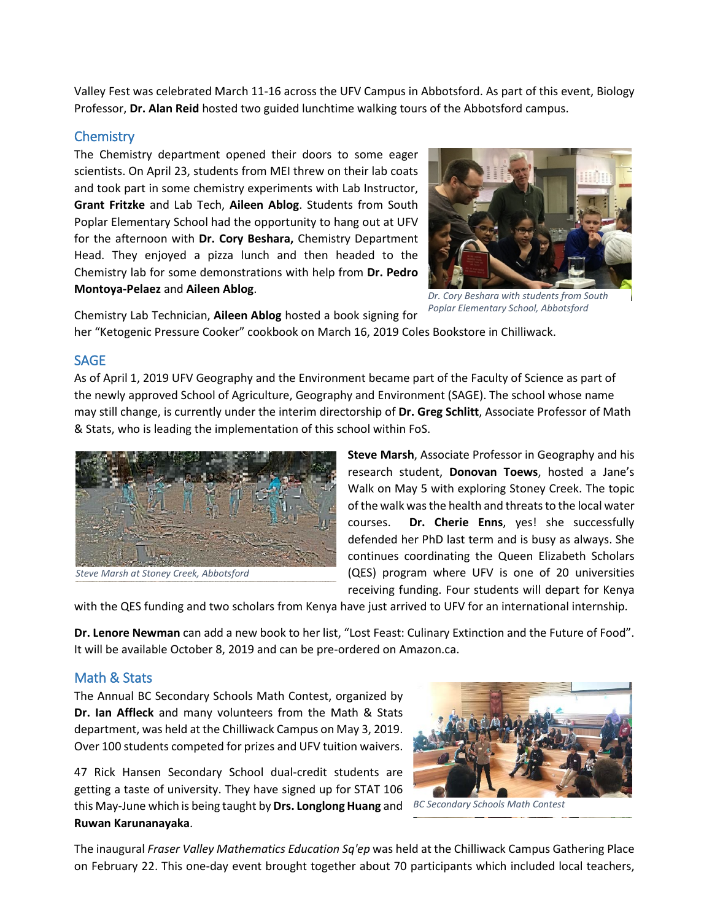Valley Fest was celebrated March 11-16 across the UFV Campus in Abbotsford. As part of this event, Biology Professor, **Dr. Alan Reid** hosted two guided lunchtime walking tours of the Abbotsford campus.

### **Chemistry**

The Chemistry department opened their doors to some eager scientists. On April 23, students from MEI threw on their lab coats and took part in some chemistry experiments with Lab Instructor, **Grant Fritzke** and Lab Tech, **Aileen Ablog**. Students from South Poplar Elementary School had the opportunity to hang out at UFV for the afternoon with **Dr. Cory Beshara,** Chemistry Department Head. They enjoyed a pizza lunch and then headed to the Chemistry lab for some demonstrations with help from **Dr. Pedro Montoya-Pelaez** and **Aileen Ablog**.



*Dr. Cory Beshara with students from South Poplar Elementary School, Abbotsford*

Chemistry Lab Technician, **Aileen Ablog** hosted a book signing for her "Ketogenic Pressure Cooker" cookbook on March 16, 2019 Coles Bookstore in Chilliwack.

#### SAGE

As of April 1, 2019 UFV Geography and the Environment became part of the Faculty of Science as part of the newly approved School of Agriculture, Geography and Environment (SAGE). The school whose name may still change, is currently under the interim directorship of **Dr. Greg Schlitt**, Associate Professor of Math & Stats, who is leading the implementation of this school within FoS.



*Steve Marsh at Stoney Creek, Abbotsford*

**Steve Marsh**, Associate Professor in Geography and his research student, **Donovan Toews**, hosted a Jane's Walk on May 5 with exploring Stoney Creek. The topic of the walk was the health and threats to the local water courses. **Dr. Cherie Enns**, yes! she successfully defended her PhD last term and is busy as always. She continues coordinating the Queen Elizabeth Scholars (QES) program where UFV is one of 20 universities receiving funding. Four students will depart for Kenya

with the QES funding and two scholars from Kenya have just arrived to UFV for an international internship.

**Dr. Lenore Newman** can add a new book to her list, "Lost Feast: Culinary Extinction and the Future of Food". It will be available October 8, 2019 and can be pre-ordered on Amazon.ca.

## Math & Stats

The Annual BC Secondary Schools Math Contest, organized by **Dr. Ian Affleck** and many volunteers from the Math & Stats department, was held at the Chilliwack Campus on May 3, 2019. Over 100 students competed for prizes and UFV tuition waivers.

47 Rick Hansen Secondary School dual-credit students are getting a taste of university. They have signed up for STAT 106 this May-June which is being taught by **Drs. Longlong Huang** and *BC Secondary Schools Math Contest* **Ruwan Karunanayaka**.



The inaugural *Fraser Valley Mathematics Education Sq'ep* was held at the Chilliwack Campus Gathering Place on February 22. This one-day event brought together about 70 participants which included local teachers,